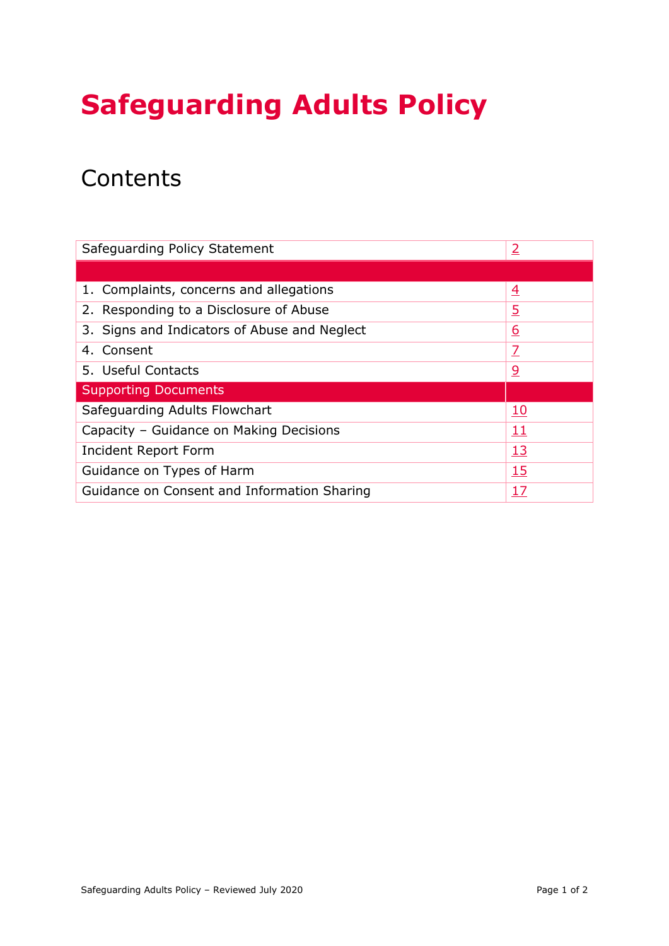# **Safeguarding Adults Policy**

## **Contents**

| Safeguarding Policy Statement<br>$\overline{2}$   |                |
|---------------------------------------------------|----------------|
|                                                   |                |
| 1. Complaints, concerns and allegations           | $\overline{4}$ |
| 2. Responding to a Disclosure of Abuse            | <u>5</u>       |
| 3. Signs and Indicators of Abuse and Neglect      | <u>6</u>       |
| 4. Consent                                        | Z              |
| 5. Useful Contacts                                | <u>୨</u>       |
| <b>Supporting Documents</b>                       |                |
| Safeguarding Adults Flowchart                     | <u>10</u>      |
| Capacity - Guidance on Making Decisions           | 11             |
| Incident Report Form                              | <u>13</u>      |
| <u>15</u><br>Guidance on Types of Harm            |                |
| Guidance on Consent and Information Sharing<br>17 |                |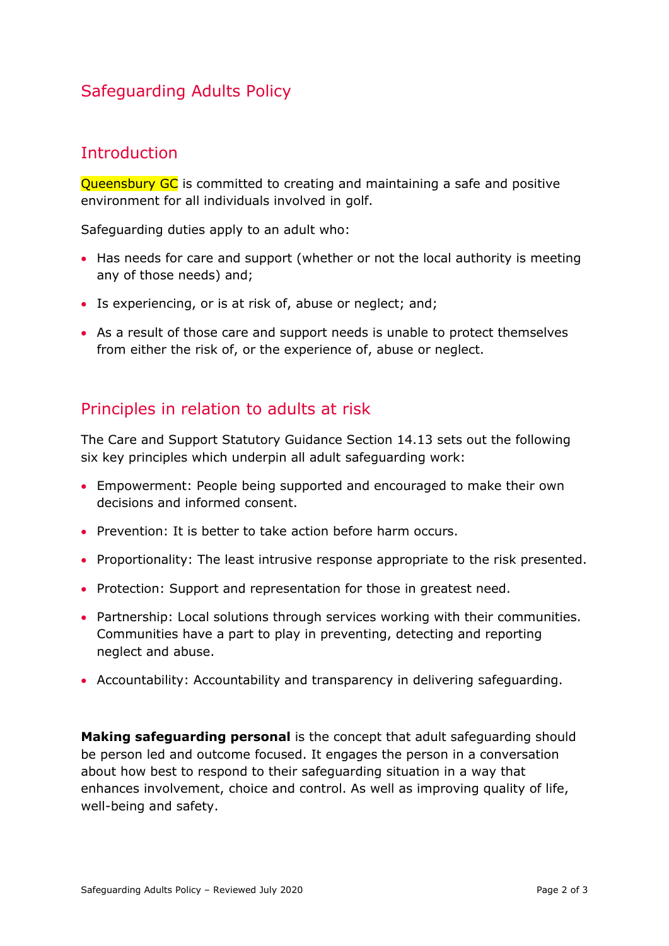## Safeguarding Adults Policy

## <span id="page-1-0"></span>**Introduction**

Queensbury GC is committed to creating and maintaining a safe and positive environment for all individuals involved in golf.

Safeguarding duties apply to an adult who:

- Has needs for care and support (whether or not the local authority is meeting any of those needs) and;
- Is experiencing, or is at risk of, abuse or neglect; and;
- As a result of those care and support needs is unable to protect themselves from either the risk of, or the experience of, abuse or neglect.

## Principles in relation to adults at risk

The Care and Support Statutory Guidance Section 14.13 sets out the following six key principles which underpin all adult safeguarding work:

- Empowerment: People being supported and encouraged to make their own decisions and informed consent.
- Prevention: It is better to take action before harm occurs.
- Proportionality: The least intrusive response appropriate to the risk presented.
- Protection: Support and representation for those in greatest need.
- Partnership: Local solutions through services working with their communities. Communities have a part to play in preventing, detecting and reporting neglect and abuse.
- Accountability: Accountability and transparency in delivering safeguarding.

**Making safeguarding personal** is the concept that adult safeguarding should be person led and outcome focused. It engages the person in a conversation about how best to respond to their safeguarding situation in a way that enhances involvement, choice and control. As well as improving quality of life, well-being and safety.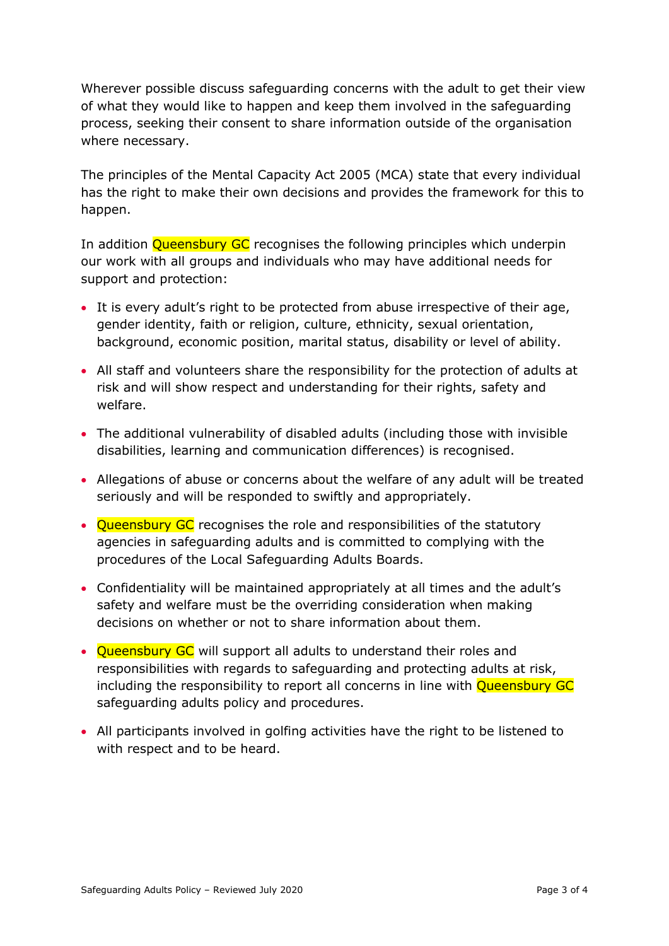Wherever possible discuss safeguarding concerns with the adult to get their view of what they would like to happen and keep them involved in the safeguarding process, seeking their consent to share information outside of the organisation where necessary.

The principles of the Mental Capacity Act 2005 (MCA) state that every individual has the right to make their own decisions and provides the framework for this to happen.

In addition **Queensbury GC** recognises the following principles which underpin our work with all groups and individuals who may have additional needs for support and protection:

- It is every adult's right to be protected from abuse irrespective of their age, gender identity, faith or religion, culture, ethnicity, sexual orientation, background, economic position, marital status, disability or level of ability.
- All staff and volunteers share the responsibility for the protection of adults at risk and will show respect and understanding for their rights, safety and welfare.
- The additional vulnerability of disabled adults (including those with invisible disabilities, learning and communication differences) is recognised.
- Allegations of abuse or concerns about the welfare of any adult will be treated seriously and will be responded to swiftly and appropriately.
- Queensbury GC recognises the role and responsibilities of the statutory agencies in safeguarding adults and is committed to complying with the procedures of the Local Safeguarding Adults Boards.
- Confidentiality will be maintained appropriately at all times and the adult's safety and welfare must be the overriding consideration when making decisions on whether or not to share information about them.
- Oueensbury GC will support all adults to understand their roles and responsibilities with regards to safeguarding and protecting adults at risk, including the responsibility to report all concerns in line with **Queensbury GC** safeguarding adults policy and procedures.
- All participants involved in golfing activities have the right to be listened to with respect and to be heard.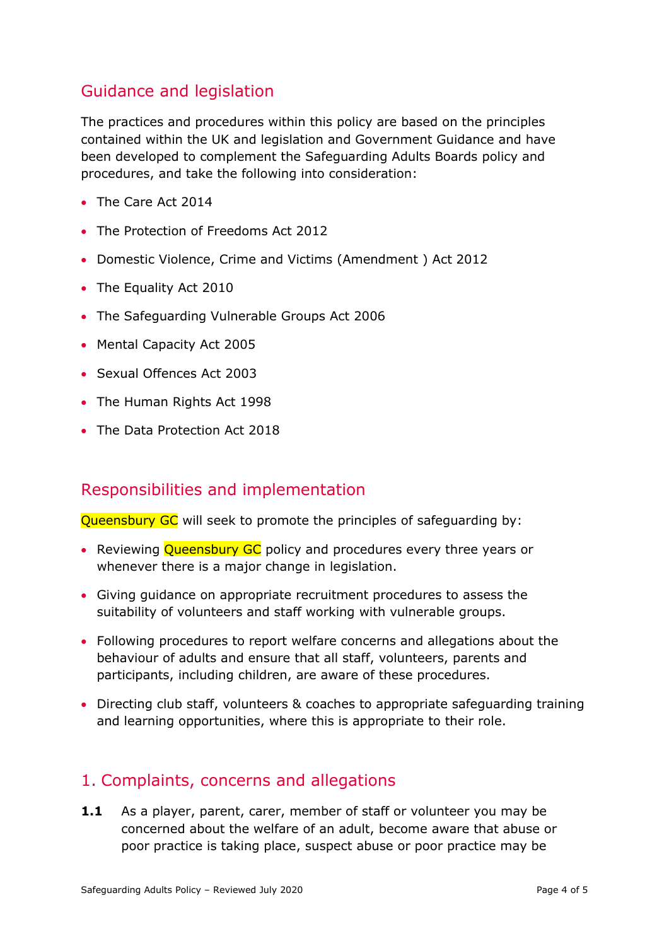## Guidance and legislation

The practices and procedures within this policy are based on the principles contained within the UK and legislation and Government Guidance and have been developed to complement the Safeguarding Adults Boards policy and procedures, and take the following into consideration:

- The Care Act 2014
- The Protection of Freedoms Act 2012
- Domestic Violence, Crime and Victims (Amendment ) Act 2012
- The Equality Act 2010
- The Safeguarding Vulnerable Groups Act 2006
- Mental Capacity Act 2005
- Sexual Offences Act 2003
- The Human Rights Act 1998
- The Data Protection Act 2018

## Responsibilities and implementation

Queensbury GC will seek to promote the principles of safequarding by:

- Reviewing Queensbury GC policy and procedures every three years or whenever there is a major change in legislation.
- Giving guidance on appropriate recruitment procedures to assess the suitability of volunteers and staff working with vulnerable groups.
- Following procedures to report welfare concerns and allegations about the behaviour of adults and ensure that all staff, volunteers, parents and participants, including children, are aware of these procedures.
- Directing club staff, volunteers & coaches to appropriate safeguarding training and learning opportunities, where this is appropriate to their role.

## <span id="page-3-0"></span>1. Complaints, concerns and allegations

**1.1** As a player, parent, carer, member of staff or volunteer you may be concerned about the welfare of an adult, become aware that abuse or poor practice is taking place, suspect abuse or poor practice may be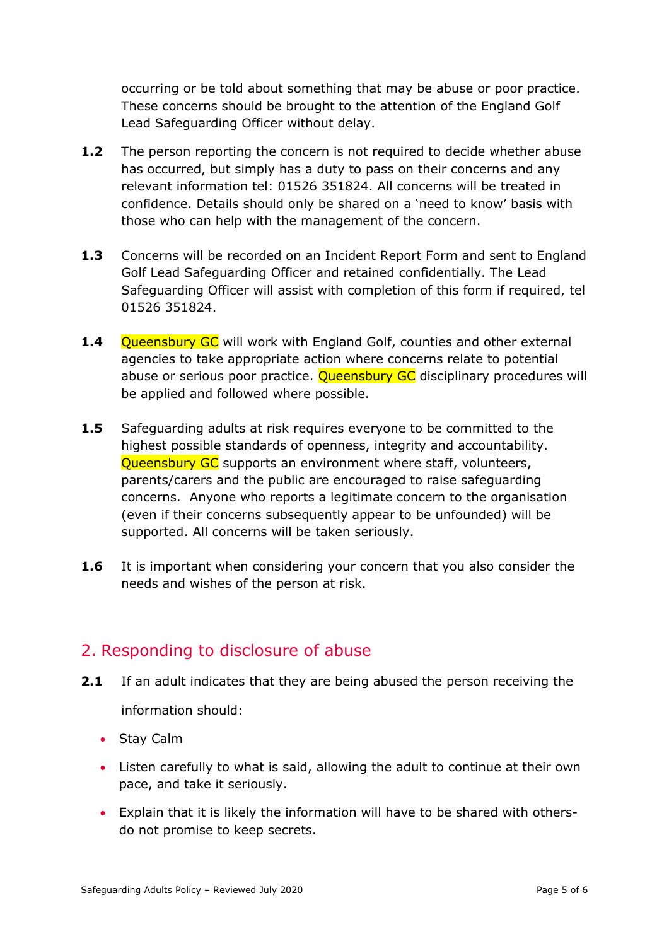occurring or be told about something that may be abuse or poor practice. These concerns should be brought to the attention of the England Golf Lead Safeguarding Officer without delay.

- **1.2** The person reporting the concern is not required to decide whether abuse has occurred, but simply has a duty to pass on their concerns and any relevant information tel: 01526 351824. All concerns will be treated in confidence. Details should only be shared on a 'need to know' basis with those who can help with the management of the concern.
- **1.3** Concerns will be recorded on an Incident Report Form and sent to England Golf Lead Safeguarding Officer and retained confidentially. The Lead Safeguarding Officer will assist with completion of this form if required, tel 01526 351824.
- **1.4** Oueensbury GC will work with England Golf, counties and other external agencies to take appropriate action where concerns relate to potential abuse or serious poor practice. Oueensbury GC disciplinary procedures will be applied and followed where possible.
- **1.5** Safeguarding adults at risk requires everyone to be committed to the highest possible standards of openness, integrity and accountability. Queensbury GC supports an environment where staff, volunteers, parents/carers and the public are encouraged to raise safeguarding concerns. Anyone who reports a legitimate concern to the organisation (even if their concerns subsequently appear to be unfounded) will be supported. All concerns will be taken seriously.
- **1.6** It is important when considering your concern that you also consider the needs and wishes of the person at risk.

## <span id="page-4-0"></span>2. Responding to disclosure of abuse

- **2.1** If an adult indicates that they are being abused the person receiving the information should:
	- Stay Calm
	- Listen carefully to what is said, allowing the adult to continue at their own pace, and take it seriously.
	- Explain that it is likely the information will have to be shared with othersdo not promise to keep secrets.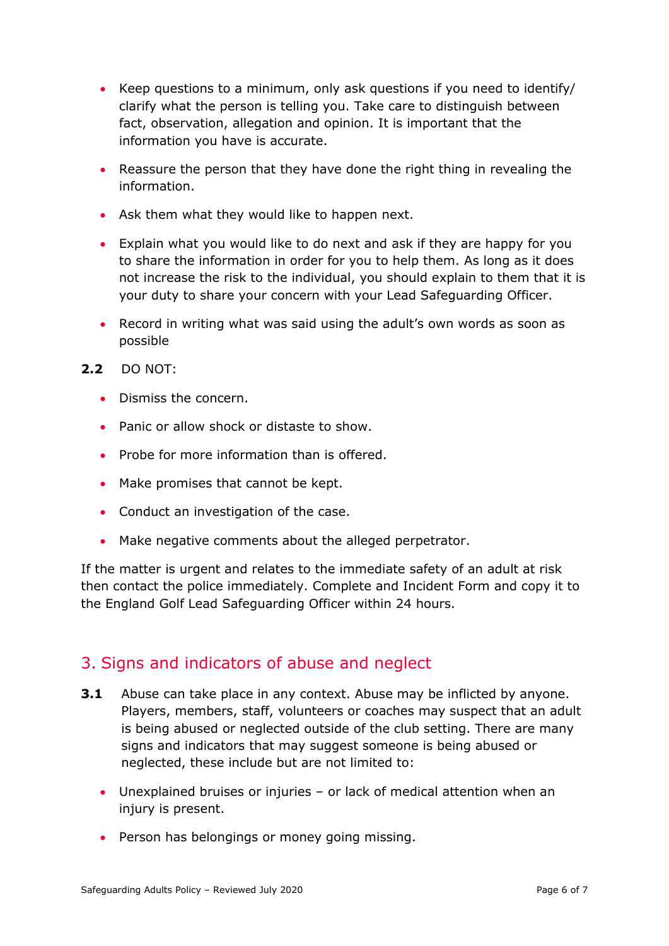- Keep questions to a minimum, only ask questions if you need to identify/ clarify what the person is telling you. Take care to distinguish between fact, observation, allegation and opinion. It is important that the information you have is accurate.
- Reassure the person that they have done the right thing in revealing the information.
- Ask them what they would like to happen next.
- Explain what you would like to do next and ask if they are happy for you to share the information in order for you to help them. As long as it does not increase the risk to the individual, you should explain to them that it is your duty to share your concern with your Lead Safeguarding Officer.
- Record in writing what was said using the adult's own words as soon as possible
- **2.2** DO NOT:
	- Dismiss the concern.
	- Panic or allow shock or distaste to show.
	- Probe for more information than is offered.
	- Make promises that cannot be kept.
	- Conduct an investigation of the case.
	- Make negative comments about the alleged perpetrator.

If the matter is urgent and relates to the immediate safety of an adult at risk then contact the police immediately. Complete and Incident Form and copy it to the England Golf Lead Safeguarding Officer within 24 hours.

## <span id="page-5-0"></span>3. Signs and indicators of abuse and neglect

- **3.1** Abuse can take place in any context. Abuse may be inflicted by anyone. Players, members, staff, volunteers or coaches may suspect that an adult is being abused or neglected outside of the club setting. There are many signs and indicators that may suggest someone is being abused or neglected, these include but are not limited to:
	- Unexplained bruises or injuries or lack of medical attention when an injury is present.
	- Person has belongings or money going missing.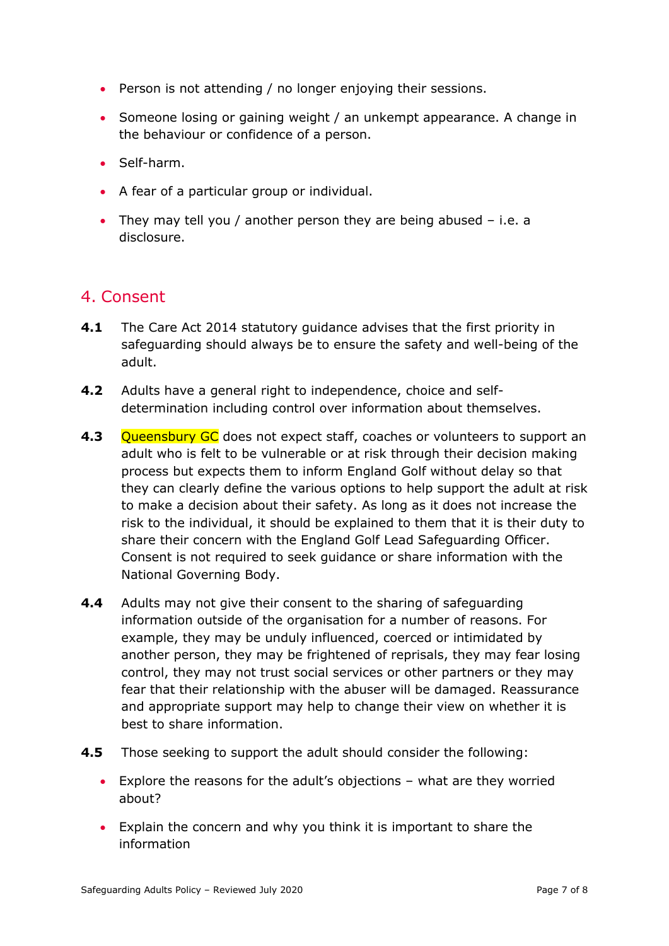- Person is not attending / no longer enjoying their sessions.
- Someone losing or gaining weight / an unkempt appearance. A change in the behaviour or confidence of a person.
- Self-harm.
- A fear of a particular group or individual.
- They may tell you / another person they are being abused i.e. a disclosure.

## <span id="page-6-0"></span>4. Consent

- **4.1** The Care Act 2014 statutory guidance advises that the first priority in safeguarding should always be to ensure the safety and well-being of the adult.
- **4.2** Adults have a general right to independence, choice and selfdetermination including control over information about themselves.
- **4.3** Queensbury GC does not expect staff, coaches or volunteers to support an adult who is felt to be vulnerable or at risk through their decision making process but expects them to inform England Golf without delay so that they can clearly define the various options to help support the adult at risk to make a decision about their safety. As long as it does not increase the risk to the individual, it should be explained to them that it is their duty to share their concern with the England Golf Lead Safeguarding Officer. Consent is not required to seek guidance or share information with the National Governing Body.
- **4.4** Adults may not give their consent to the sharing of safeguarding information outside of the organisation for a number of reasons. For example, they may be unduly influenced, coerced or intimidated by another person, they may be frightened of reprisals, they may fear losing control, they may not trust social services or other partners or they may fear that their relationship with the abuser will be damaged. Reassurance and appropriate support may help to change their view on whether it is best to share information.
- **4.5** Those seeking to support the adult should consider the following:
	- Explore the reasons for the adult's objections what are they worried about?
	- Explain the concern and why you think it is important to share the information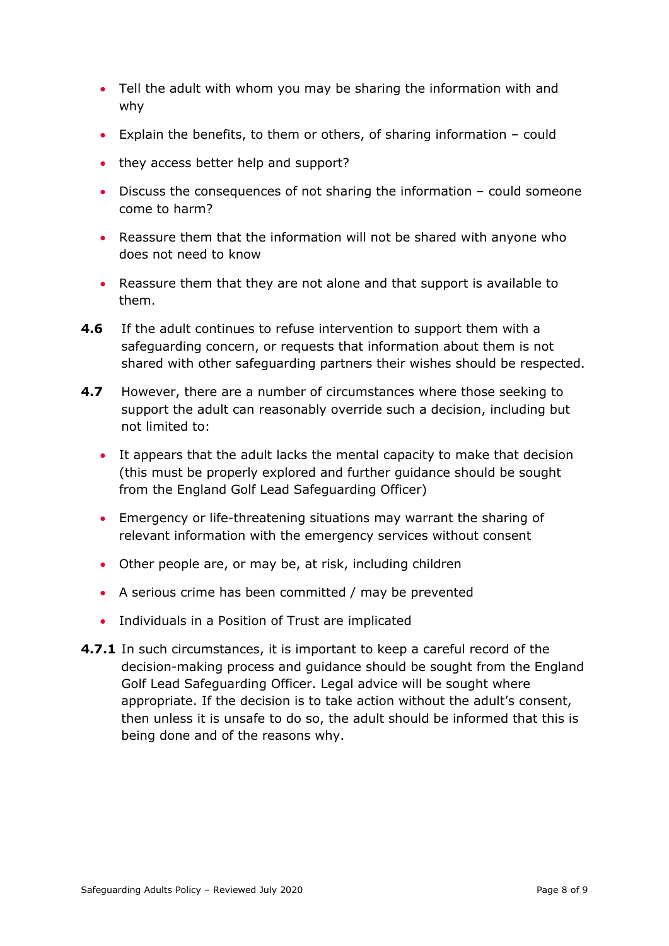- Tell the adult with whom you may be sharing the information with and why
- Explain the benefits, to them or others, of sharing information could
- they access better help and support?
- Discuss the consequences of not sharing the information could someone come to harm?
- Reassure them that the information will not be shared with anyone who does not need to know
- Reassure them that they are not alone and that support is available to them.
- **4.6** If the adult continues to refuse intervention to support them with a safeguarding concern, or requests that information about them is not shared with other safeguarding partners their wishes should be respected.
- **4.7** However, there are a number of circumstances where those seeking to support the adult can reasonably override such a decision, including but not limited to:
	- It appears that the adult lacks the mental capacity to make that decision (this must be properly explored and further guidance should be sought from the England Golf Lead Safeguarding Officer)
	- Emergency or life-threatening situations may warrant the sharing of relevant information with the emergency services without consent
	- Other people are, or may be, at risk, including children
	- A serious crime has been committed / may be prevented
	- Individuals in a Position of Trust are implicated
- **4.7.1** In such circumstances, it is important to keep a careful record of the decision-making process and guidance should be sought from the England Golf Lead Safeguarding Officer. Legal advice will be sought where appropriate. If the decision is to take action without the adult's consent, then unless it is unsafe to do so, the adult should be informed that this is being done and of the reasons why.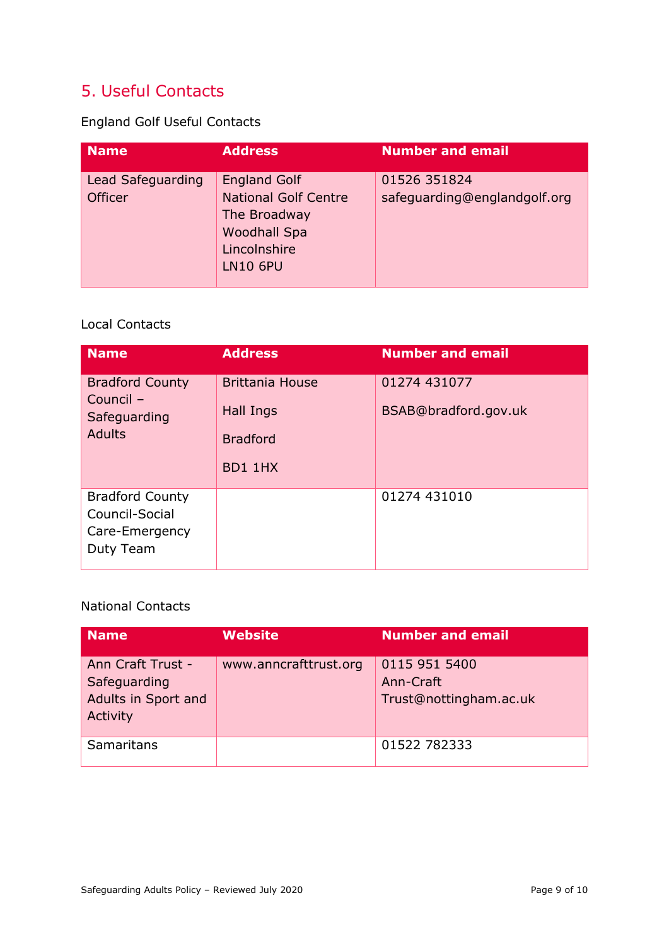## <span id="page-8-0"></span>5. Useful Contacts

England Golf Useful Contacts

| <b>Name</b>                         | <b>Address</b>                                                                                                               | <b>Number and email</b>                      |
|-------------------------------------|------------------------------------------------------------------------------------------------------------------------------|----------------------------------------------|
| Lead Safeguarding<br><b>Officer</b> | <b>England Golf</b><br><b>National Golf Centre</b><br>The Broadway<br><b>Woodhall Spa</b><br>Lincolnshire<br><b>LN10 6PU</b> | 01526 351824<br>safeguarding@englandgolf.org |

#### Local Contacts

| <b>Name</b>                                                             | <b>Address</b>                                                    | <b>Number and email</b>              |
|-------------------------------------------------------------------------|-------------------------------------------------------------------|--------------------------------------|
| <b>Bradford County</b><br>Council -<br>Safeguarding<br><b>Adults</b>    | <b>Brittania House</b><br>Hall Ings<br><b>Bradford</b><br>BD1 1HX | 01274 431077<br>BSAB@bradford.gov.uk |
| <b>Bradford County</b><br>Council-Social<br>Care-Emergency<br>Duty Team |                                                                   | 01274 431010                         |

#### National Contacts

| <b>Name</b>                                                          | <b>Website</b>        | <b>Number and email</b>                              |
|----------------------------------------------------------------------|-----------------------|------------------------------------------------------|
| Ann Craft Trust -<br>Safeguarding<br>Adults in Sport and<br>Activity | www.anncrafttrust.org | 0115 951 5400<br>Ann-Craft<br>Trust@nottingham.ac.uk |
| Samaritans                                                           |                       | 01522 782333                                         |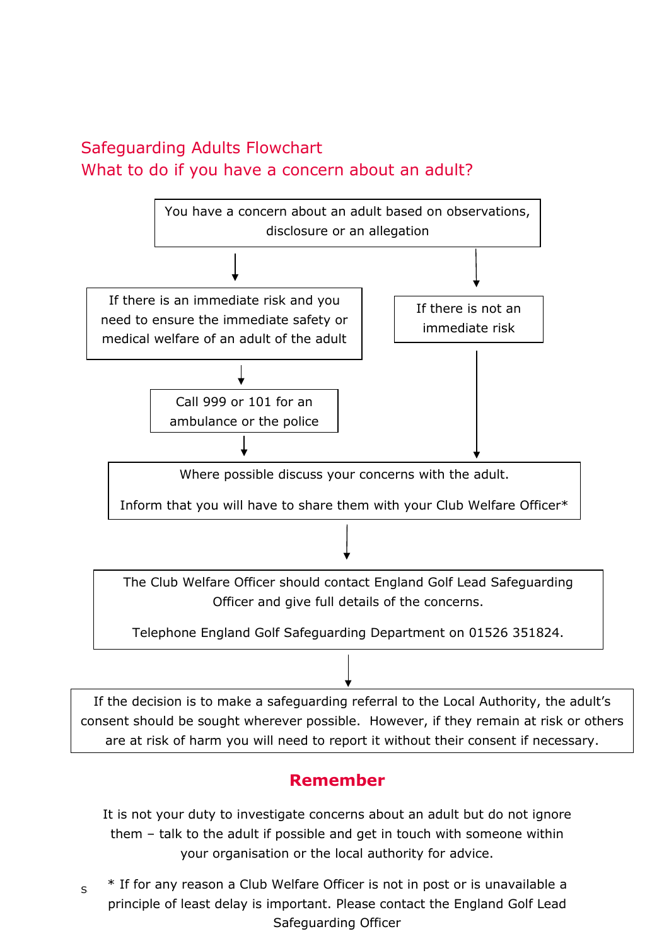## <span id="page-9-0"></span>Safeguarding Adults Flowchart What to do if you have a concern about an adult?



If the decision is to make a safeguarding referral to the Local Authority, the adult's consent should be sought wherever possible. However, if they remain at risk or others are at risk of harm you will need to report it without their consent if necessary.

## **Remember**

It is not your duty to investigate concerns about an adult but do not ignore them – talk to the adult if possible and get in touch with someone within your organisation or the local authority for advice.

 $_{\rm S}$   $\;\;$  \* If for any reason a Club Welfare Officer is not in post or is unavailable a principle of least delay is important. Please contact the England Golf Lead Safeguarding Officer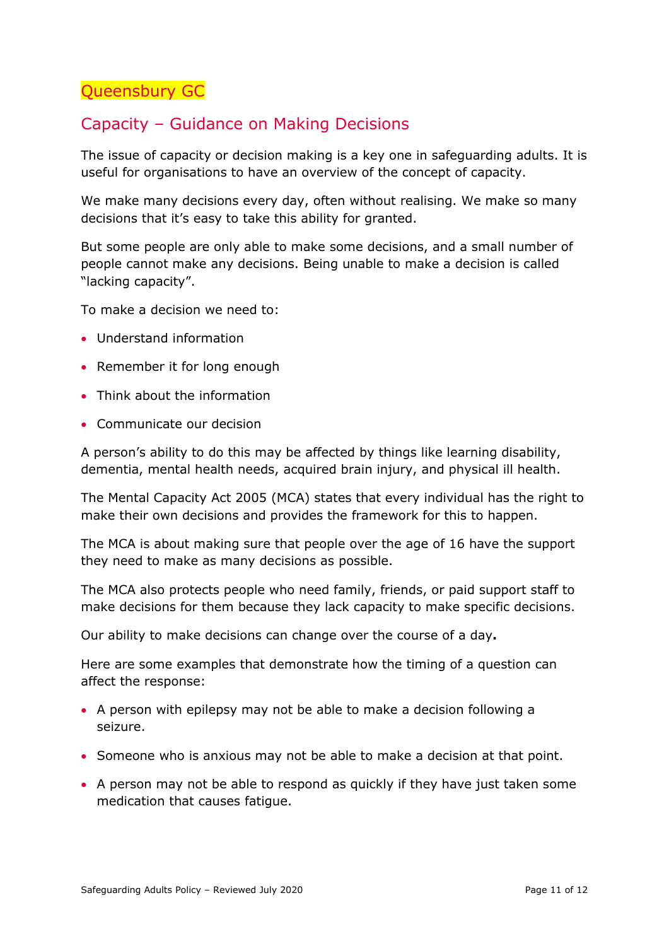<span id="page-10-0"></span>Queensbury GC

## Capacity – Guidance on Making Decisions

The issue of capacity or decision making is a key one in safeguarding adults. It is useful for organisations to have an overview of the concept of capacity.

We make many decisions every day, often without realising. We make so many decisions that it's easy to take this ability for granted.

But some people are only able to make some decisions, and a small number of people cannot make any decisions. Being unable to make a decision is called "lacking capacity".

To make a decision we need to:

- Understand information
- Remember it for long enough
- Think about the information
- Communicate our decision

A person's ability to do this may be affected by things like learning disability, dementia, mental health needs, acquired brain injury, and physical ill health.

The Mental Capacity Act 2005 (MCA) states that every individual has the right to make their own decisions and provides the framework for this to happen.

The MCA is about making sure that people over the age of 16 have the support they need to make as many decisions as possible.

The MCA also protects people who need family, friends, or paid support staff to make decisions for them because they lack capacity to make specific decisions.

Our ability to make decisions can change over the course of a day**.**

Here are some examples that demonstrate how the timing of a question can affect the response:

- A person with epilepsy may not be able to make a decision following a seizure.
- Someone who is anxious may not be able to make a decision at that point.
- A person may not be able to respond as quickly if they have just taken some medication that causes fatigue.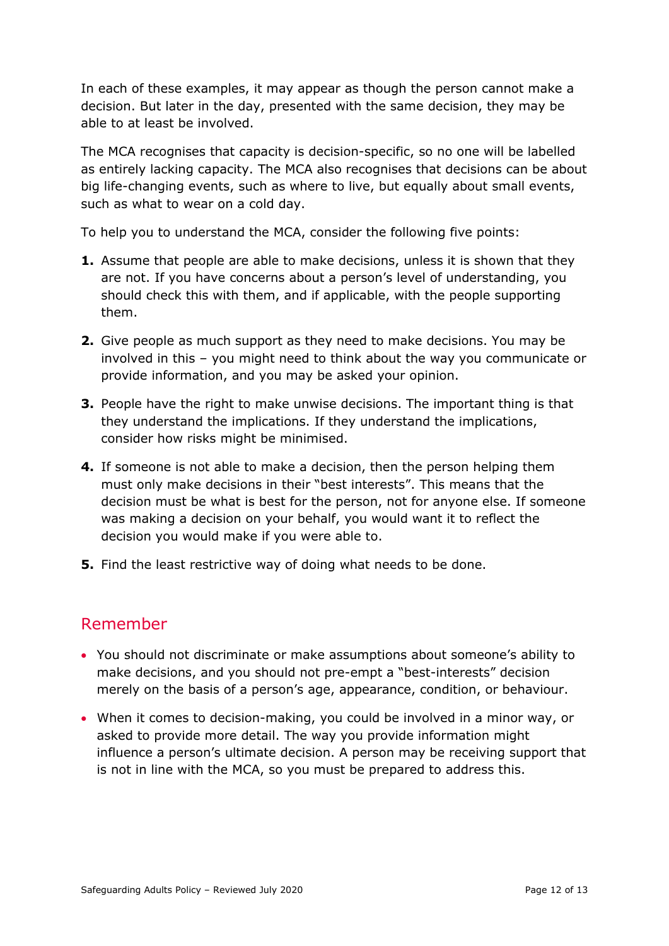In each of these examples, it may appear as though the person cannot make a decision. But later in the day, presented with the same decision, they may be able to at least be involved.

The MCA recognises that capacity is decision-specific, so no one will be labelled as entirely lacking capacity. The MCA also recognises that decisions can be about big life-changing events, such as where to live, but equally about small events, such as what to wear on a cold day.

To help you to understand the MCA, consider the following five points:

- **1.** Assume that people are able to make decisions, unless it is shown that they are not. If you have concerns about a person's level of understanding, you should check this with them, and if applicable, with the people supporting them.
- **2.** Give people as much support as they need to make decisions. You may be involved in this – you might need to think about the way you communicate or provide information, and you may be asked your opinion.
- **3.** People have the right to make unwise decisions. The important thing is that they understand the implications. If they understand the implications, consider how risks might be minimised.
- **4.** If someone is not able to make a decision, then the person helping them must only make decisions in their "best interests". This means that the decision must be what is best for the person, not for anyone else. If someone was making a decision on your behalf, you would want it to reflect the decision you would make if you were able to.
- **5.** Find the least restrictive way of doing what needs to be done.

## Remember

- You should not discriminate or make assumptions about someone's ability to make decisions, and you should not pre-empt a "best-interests" decision merely on the basis of a person's age, appearance, condition, or behaviour.
- When it comes to decision-making, you could be involved in a minor way, or asked to provide more detail. The way you provide information might influence a person's ultimate decision. A person may be receiving support that is not in line with the MCA, so you must be prepared to address this.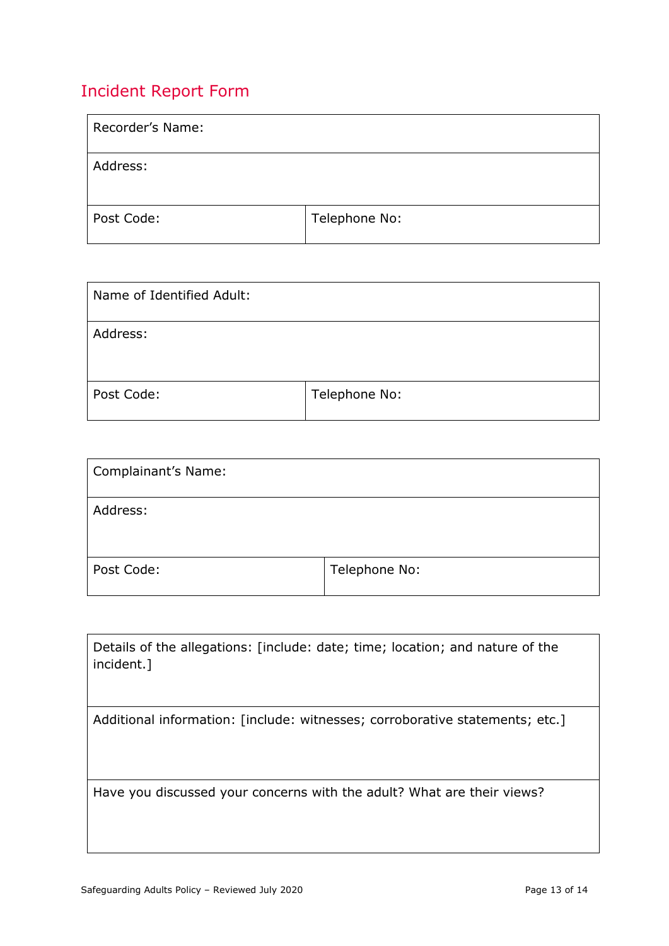## <span id="page-12-0"></span>Incident Report Form

| Recorder's Name: |               |
|------------------|---------------|
| Address:         |               |
| Post Code:       | Telephone No: |

| Name of Identified Adult: |               |
|---------------------------|---------------|
| Address:                  |               |
| Post Code:                | Telephone No: |

| <b>Complainant's Name:</b> |               |
|----------------------------|---------------|
| Address:                   |               |
| Post Code:                 | Telephone No: |

| Details of the allegations: [include: date; time; location; and nature of the<br>incident.] |
|---------------------------------------------------------------------------------------------|
| Additional information: [include: witnesses; corroborative statements; etc.]                |
|                                                                                             |
|                                                                                             |
|                                                                                             |
|                                                                                             |
| Have you discussed your concerns with the adult? What are their views?                      |
|                                                                                             |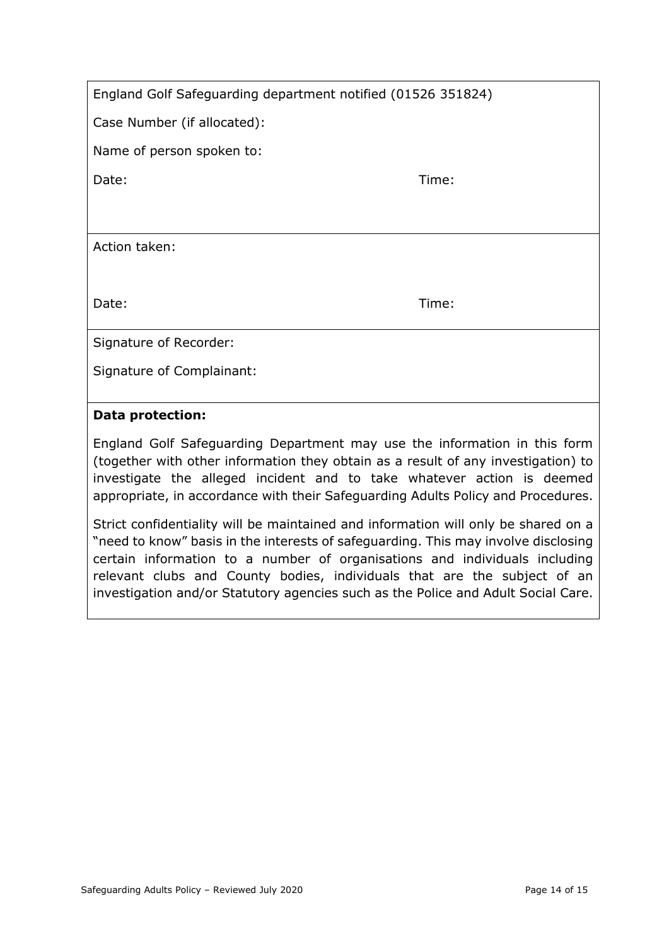Case Number (if allocated):

Name of person spoken to:

Date: Time: Time: The Solution of the Solution of the Solution of the Solution of the Time: Time:

Action taken:

Date: Time: Time: The Solution of the Solution of the Solution of the Time: Time: Time: Time: Time: Time: Time

Signature of Recorder:

Signature of Complainant:

#### **Data protection:**

England Golf Safeguarding Department may use the information in this form (together with other information they obtain as a result of any investigation) to investigate the alleged incident and to take whatever action is deemed appropriate, in accordance with their Safeguarding Adults Policy and Procedures.

Strict confidentiality will be maintained and information will only be shared on a "need to know" basis in the interests of safeguarding. This may involve disclosing certain information to a number of organisations and individuals including relevant clubs and County bodies, individuals that are the subject of an investigation and/or Statutory agencies such as the Police and Adult Social Care.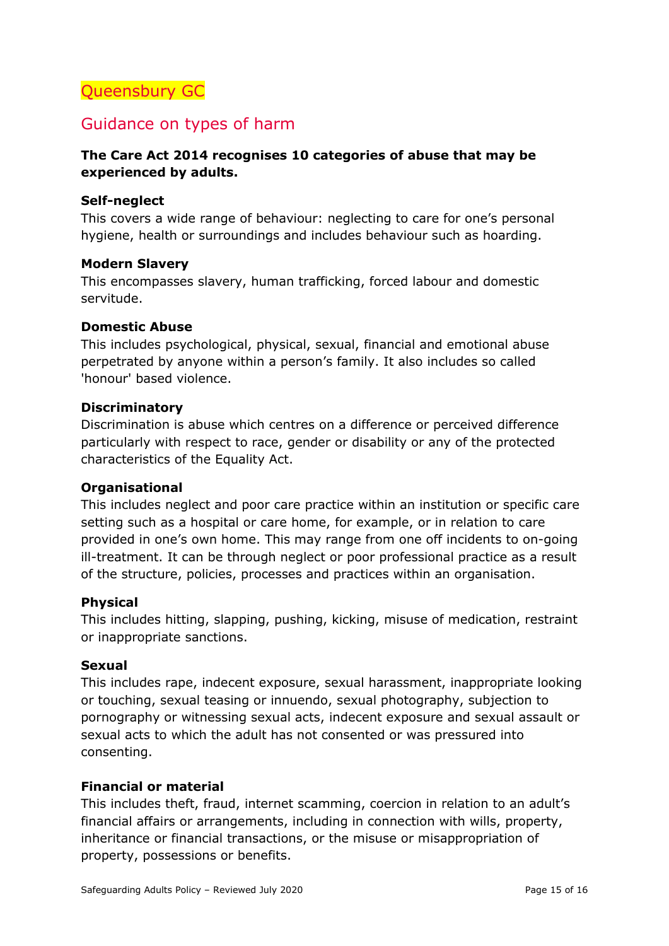## <span id="page-14-0"></span>Queensbury GC

## Guidance on types of harm

#### **The Care Act 2014 recognises 10 categories of abuse that may be experienced by adults.**

#### **Self-neglect**

This covers a wide range of behaviour: neglecting to care for one's personal hygiene, health or surroundings and includes behaviour such as hoarding.

#### **Modern Slavery**

This encompasses slavery, human trafficking, forced labour and domestic servitude.

#### **Domestic Abuse**

This includes psychological, physical, sexual, financial and emotional abuse perpetrated by anyone within a person's family. It also includes so called 'honour' based violence.

#### **Discriminatory**

Discrimination is abuse which centres on a difference or perceived difference particularly with respect to race, gender or disability or any of the protected characteristics of the Equality Act.

#### **Organisational**

This includes neglect and poor care practice within an institution or specific care setting such as a hospital or care home, for example, or in relation to care provided in one's own home. This may range from one off incidents to on-going ill-treatment. It can be through neglect or poor professional practice as a result of the structure, policies, processes and practices within an organisation.

#### **Physical**

This includes hitting, slapping, pushing, kicking, misuse of medication, restraint or inappropriate sanctions.

#### **Sexual**

This includes rape, indecent exposure, sexual harassment, inappropriate looking or touching, sexual teasing or innuendo, sexual photography, subjection to pornography or witnessing sexual acts, indecent exposure and sexual assault or sexual acts to which the adult has not consented or was pressured into consenting.

#### **Financial or material**

This includes theft, fraud, internet scamming, coercion in relation to an adult's financial affairs or arrangements, including in connection with wills, property, inheritance or financial transactions, or the misuse or misappropriation of property, possessions or benefits.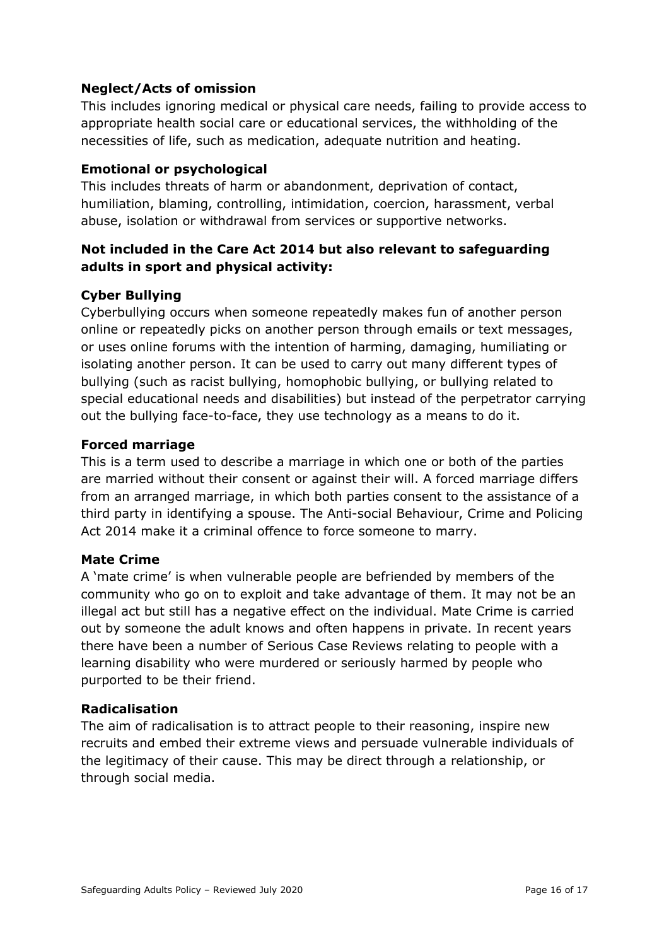#### **Neglect/Acts of omission**

This includes ignoring medical or physical care needs, failing to provide access to appropriate health social care or educational services, the withholding of the necessities of life, such as medication, adequate nutrition and heating.

#### **Emotional or psychological**

This includes threats of harm or abandonment, deprivation of contact, humiliation, blaming, controlling, intimidation, coercion, harassment, verbal abuse, isolation or withdrawal from services or supportive networks.

#### **Not included in the Care Act 2014 but also relevant to safeguarding adults in sport and physical activity:**

#### **Cyber Bullying**

Cyberbullying occurs when someone repeatedly makes fun of another person online or repeatedly picks on another person through emails or text messages, or uses online forums with the intention of harming, damaging, humiliating or isolating another person. It can be used to carry out many different types of bullying (such as racist bullying, homophobic bullying, or bullying related to special educational needs and disabilities) but instead of the perpetrator carrying out the bullying face-to-face, they use technology as a means to do it.

#### **Forced marriage**

This is a term used to describe a marriage in which one or both of the parties are married without their consent or against their will. A forced marriage differs from an arranged marriage, in which both parties consent to the assistance of a third party in identifying a spouse. The Anti-social Behaviour, Crime and Policing Act 2014 make it a criminal offence to force someone to marry.

#### **Mate Crime**

A 'mate crime' is when vulnerable people are befriended by members of the community who go on to exploit and take advantage of them. It may not be an illegal act but still has a negative effect on the individual. Mate Crime is carried out by someone the adult knows and often happens in private. In recent years there have been a number of Serious Case Reviews relating to people with a learning disability who were murdered or seriously harmed by people who purported to be their friend.

#### **Radicalisation**

The aim of radicalisation is to attract people to their reasoning, inspire new recruits and embed their extreme views and persuade vulnerable individuals of the legitimacy of their cause. This may be direct through a relationship, or through social media.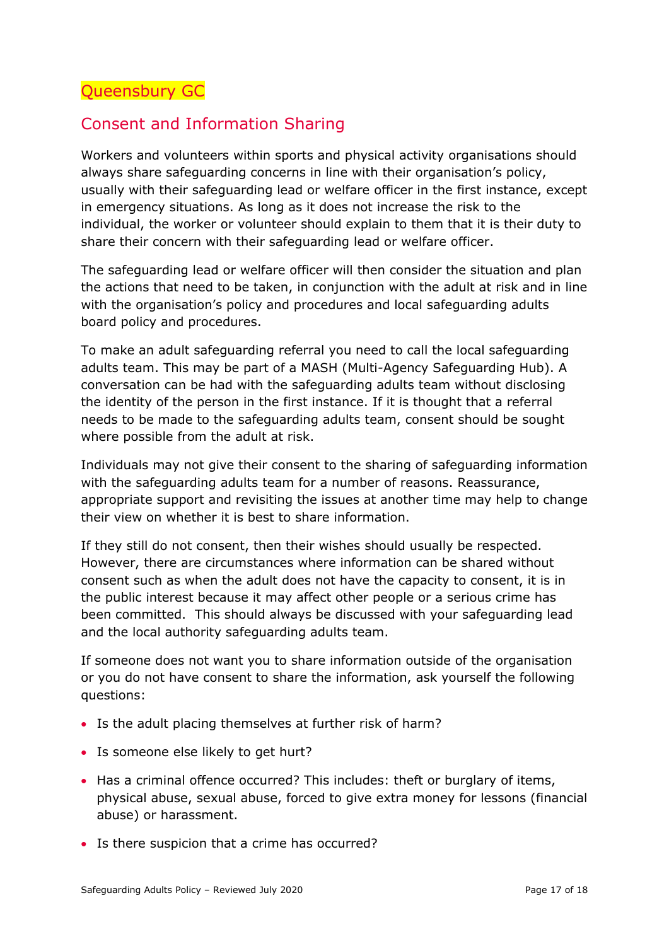## <span id="page-16-0"></span>Consent and Information Sharing

Workers and volunteers within sports and physical activity organisations should always share safeguarding concerns in line with their organisation's policy, usually with their safeguarding lead or welfare officer in the first instance, except in emergency situations. As long as it does not increase the risk to the individual, the worker or volunteer should explain to them that it is their duty to share their concern with their safeguarding lead or welfare officer.

The safeguarding lead or welfare officer will then consider the situation and plan the actions that need to be taken, in conjunction with the adult at risk and in line with the organisation's policy and procedures and local safeguarding adults board policy and procedures.

To make an adult safeguarding referral you need to call the local safeguarding adults team. This may be part of a MASH (Multi*-*Agency Safeguarding Hub). A conversation can be had with the safeguarding adults team without disclosing the identity of the person in the first instance. If it is thought that a referral needs to be made to the safeguarding adults team, consent should be sought where possible from the adult at risk.

Individuals may not give their consent to the sharing of safeguarding information with the safeguarding adults team for a number of reasons. Reassurance, appropriate support and revisiting the issues at another time may help to change their view on whether it is best to share information.

If they still do not consent, then their wishes should usually be respected. However, there are circumstances where information can be shared without consent such as when the adult does not have the capacity to consent, it is in the public interest because it may affect other people or a serious crime has been committed. This should always be discussed with your safeguarding lead and the local authority safeguarding adults team.

If someone does not want you to share information outside of the organisation or you do not have consent to share the information, ask yourself the following questions:

- Is the adult placing themselves at further risk of harm?
- Is someone else likely to get hurt?
- Has a criminal offence occurred? This includes: theft or burglary of items, physical abuse, sexual abuse, forced to give extra money for lessons (financial abuse) or harassment.
- Is there suspicion that a crime has occurred?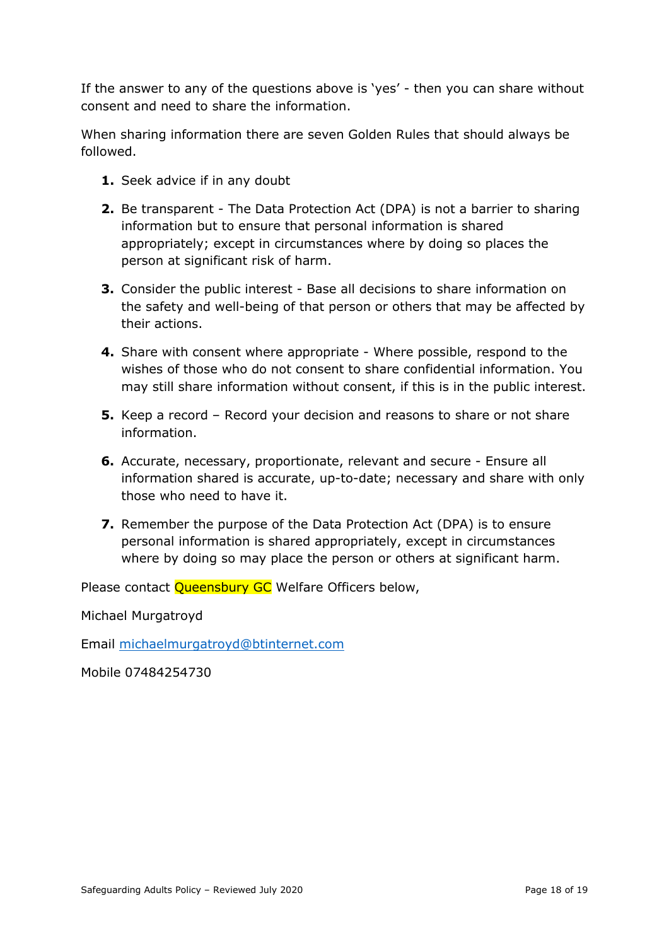If the answer to any of the questions above is 'yes' - then you can share without consent and need to share the information.

When sharing information there are seven Golden Rules that should always be followed.

- **1.** Seek advice if in any doubt
- **2.** Be transparent The Data Protection Act (DPA) is not a barrier to sharing information but to ensure that personal information is shared appropriately; except in circumstances where by doing so places the person at significant risk of harm.
- **3.** Consider the public interest Base all decisions to share information on the safety and well-being of that person or others that may be affected by their actions.
- **4.** Share with consent where appropriate Where possible, respond to the wishes of those who do not consent to share confidential information. You may still share information without consent, if this is in the public interest.
- **5.** Keep a record Record your decision and reasons to share or not share information.
- **6.** Accurate, necessary, proportionate, relevant and secure Ensure all information shared is accurate, up-to-date; necessary and share with only those who need to have it.
- **7.** Remember the purpose of the Data Protection Act (DPA) is to ensure personal information is shared appropriately, except in circumstances where by doing so may place the person or others at significant harm.

Please contact Queensbury GC Welfare Officers below,

Michael Murgatroyd

Email [michaelmurgatroyd@btinternet.com](mailto:michaelmurgatroyd@btinternet.com)

Mobile 07484254730